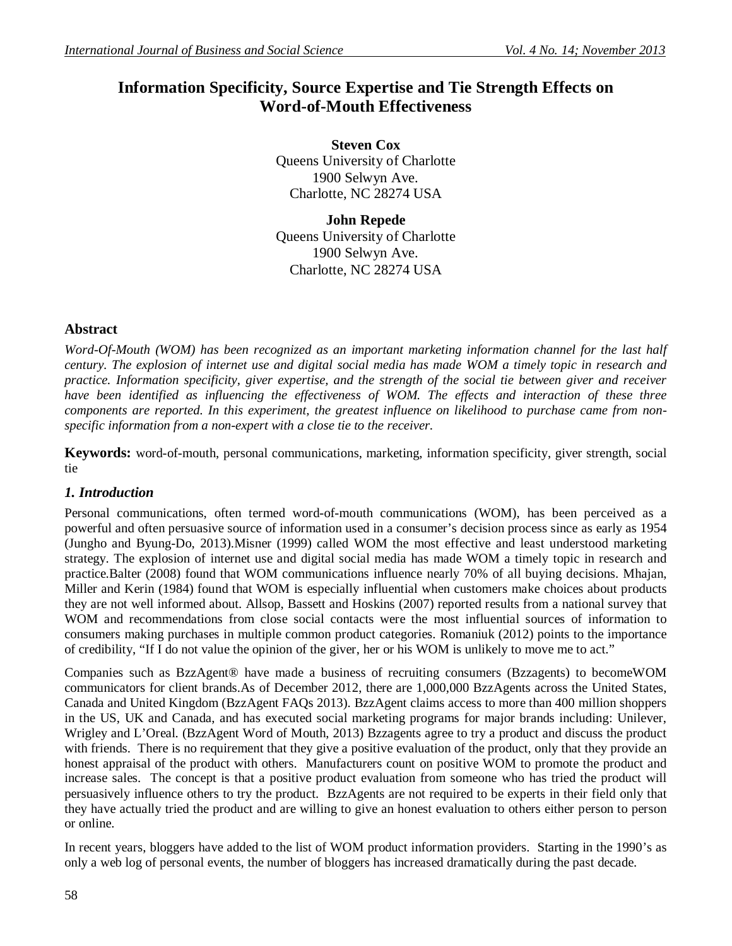# **Information Specificity, Source Expertise and Tie Strength Effects on Word-of-Mouth Effectiveness**

**Steven Cox** Queens University of Charlotte 1900 Selwyn Ave. Charlotte, NC 28274 USA

**John Repede** Queens University of Charlotte 1900 Selwyn Ave. Charlotte, NC 28274 USA

# **Abstract**

*Word-Of-Mouth (WOM) has been recognized as an important marketing information channel for the last half century. The explosion of internet use and digital social media has made WOM a timely topic in research and practice. Information specificity, giver expertise, and the strength of the social tie between giver and receiver have been identified as influencing the effectiveness of WOM. The effects and interaction of these three components are reported. In this experiment, the greatest influence on likelihood to purchase came from nonspecific information from a non-expert with a close tie to the receiver.*

**Keywords:** word-of-mouth, personal communications, marketing, information specificity, giver strength, social tie

# *1. Introduction*

Personal communications, often termed word-of-mouth communications (WOM), has been perceived as a powerful and often persuasive source of information used in a consumer's decision process since as early as 1954 (Jungho and Byung-Do, 2013).Misner (1999) called WOM the most effective and least understood marketing strategy. The explosion of internet use and digital social media has made WOM a timely topic in research and practice.Balter (2008) found that WOM communications influence nearly 70% of all buying decisions. Mhajan, Miller and Kerin (1984) found that WOM is especially influential when customers make choices about products they are not well informed about. Allsop, Bassett and Hoskins (2007) reported results from a national survey that WOM and recommendations from close social contacts were the most influential sources of information to consumers making purchases in multiple common product categories. Romaniuk (2012) points to the importance of credibility, "If I do not value the opinion of the giver, her or his WOM is unlikely to move me to act."

Companies such as BzzAgent® have made a business of recruiting consumers (Bzzagents) to becomeWOM communicators for client brands.As of December 2012, there are 1,000,000 BzzAgents across the United States, Canada and United Kingdom (BzzAgent FAQs 2013). BzzAgent claims access to more than 400 million shoppers in the US, UK and Canada, and has executed social marketing programs for major brands including: Unilever, Wrigley and L'Oreal. (BzzAgent Word of Mouth, 2013) Bzzagents agree to try a product and discuss the product with friends. There is no requirement that they give a positive evaluation of the product, only that they provide an honest appraisal of the product with others. Manufacturers count on positive WOM to promote the product and increase sales. The concept is that a positive product evaluation from someone who has tried the product will persuasively influence others to try the product. BzzAgents are not required to be experts in their field only that they have actually tried the product and are willing to give an honest evaluation to others either person to person or online.

In recent years, bloggers have added to the list of WOM product information providers. Starting in the 1990's as only a web log of personal events, the number of bloggers has increased dramatically during the past decade.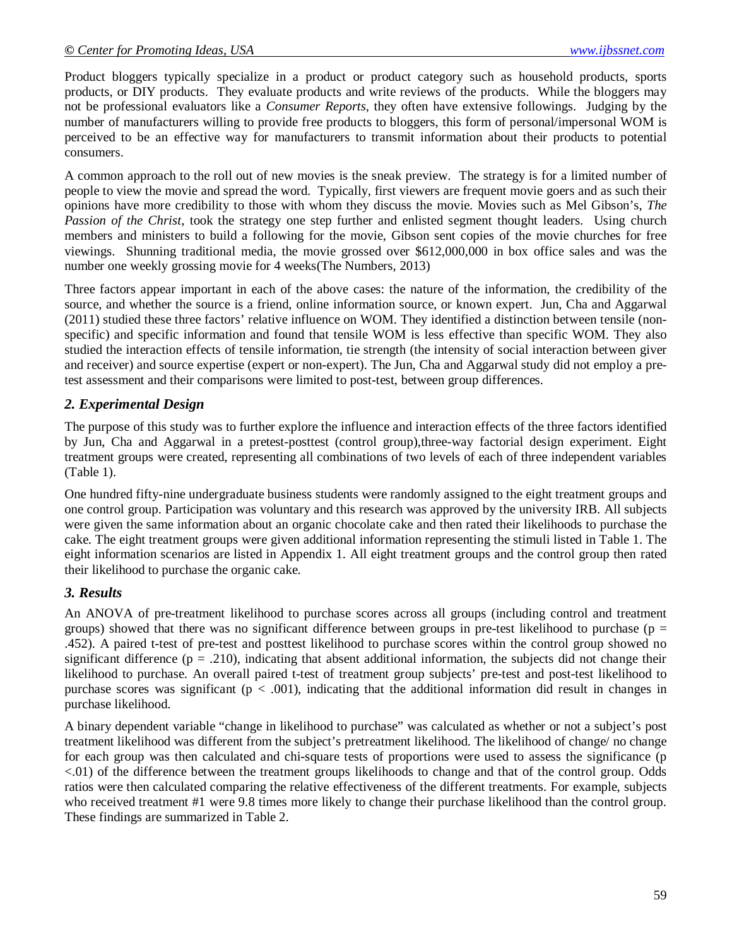Product bloggers typically specialize in a product or product category such as household products, sports products, or DIY products. They evaluate products and write reviews of the products. While the bloggers may not be professional evaluators like a *Consumer Reports,* they often have extensive followings. Judging by the number of manufacturers willing to provide free products to bloggers, this form of personal/impersonal WOM is perceived to be an effective way for manufacturers to transmit information about their products to potential consumers.

A common approach to the roll out of new movies is the sneak preview. The strategy is for a limited number of people to view the movie and spread the word. Typically, first viewers are frequent movie goers and as such their opinions have more credibility to those with whom they discuss the movie. Movies such as Mel Gibson's, *The Passion of the Christ*, took the strategy one step further and enlisted segment thought leaders. Using church members and ministers to build a following for the movie, Gibson sent copies of the movie churches for free viewings. Shunning traditional media, the movie grossed over \$612,000,000 in box office sales and was the number one weekly grossing movie for 4 weeks(The Numbers, 2013)

Three factors appear important in each of the above cases: the nature of the information, the credibility of the source, and whether the source is a friend, online information source, or known expert. Jun, Cha and Aggarwal (2011) studied these three factors' relative influence on WOM. They identified a distinction between tensile (nonspecific) and specific information and found that tensile WOM is less effective than specific WOM. They also studied the interaction effects of tensile information, tie strength (the intensity of social interaction between giver and receiver) and source expertise (expert or non-expert). The Jun, Cha and Aggarwal study did not employ a pretest assessment and their comparisons were limited to post-test, between group differences.

# *2. Experimental Design*

The purpose of this study was to further explore the influence and interaction effects of the three factors identified by Jun, Cha and Aggarwal in a pretest-posttest (control group),three-way factorial design experiment. Eight treatment groups were created, representing all combinations of two levels of each of three independent variables (Table 1).

One hundred fifty-nine undergraduate business students were randomly assigned to the eight treatment groups and one control group. Participation was voluntary and this research was approved by the university IRB. All subjects were given the same information about an organic chocolate cake and then rated their likelihoods to purchase the cake. The eight treatment groups were given additional information representing the stimuli listed in Table 1. The eight information scenarios are listed in Appendix 1. All eight treatment groups and the control group then rated their likelihood to purchase the organic cake.

# *3. Results*

An ANOVA of pre-treatment likelihood to purchase scores across all groups (including control and treatment groups) showed that there was no significant difference between groups in pre-test likelihood to purchase ( $p =$ .452). A paired t-test of pre-test and posttest likelihood to purchase scores within the control group showed no significant difference ( $p = .210$ ), indicating that absent additional information, the subjects did not change their likelihood to purchase. An overall paired t-test of treatment group subjects' pre-test and post-test likelihood to purchase scores was significant ( $p < .001$ ), indicating that the additional information did result in changes in purchase likelihood.

A binary dependent variable "change in likelihood to purchase" was calculated as whether or not a subject's post treatment likelihood was different from the subject's pretreatment likelihood. The likelihood of change/ no change for each group was then calculated and chi-square tests of proportions were used to assess the significance (p <.01) of the difference between the treatment groups likelihoods to change and that of the control group. Odds ratios were then calculated comparing the relative effectiveness of the different treatments. For example, subjects who received treatment #1 were 9.8 times more likely to change their purchase likelihood than the control group. These findings are summarized in Table 2.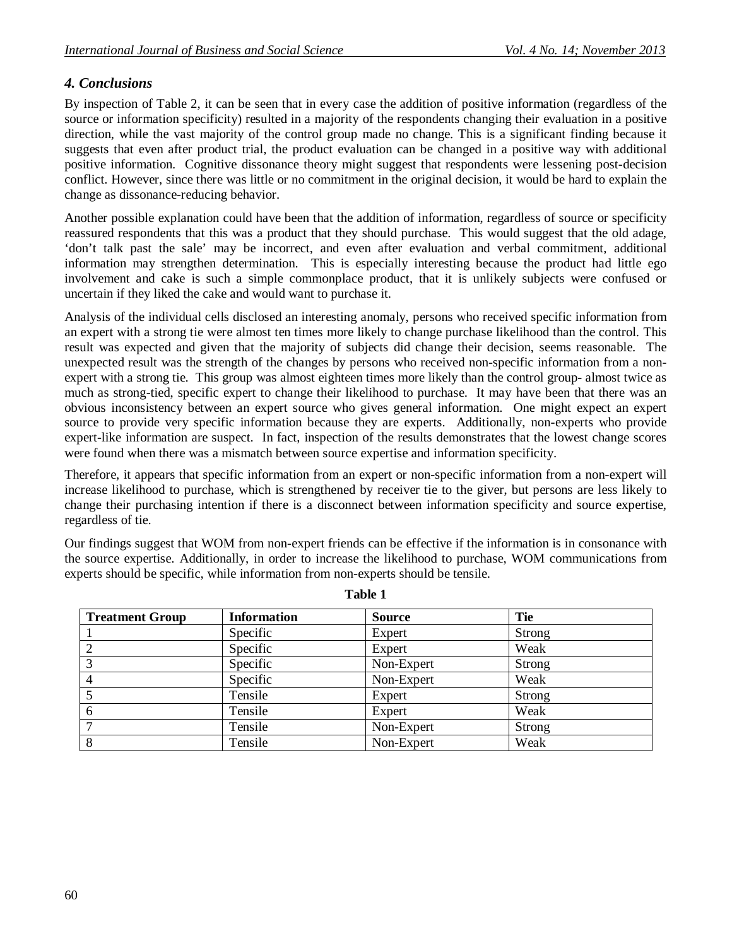# *4. Conclusions*

By inspection of Table 2, it can be seen that in every case the addition of positive information (regardless of the source or information specificity) resulted in a majority of the respondents changing their evaluation in a positive direction, while the vast majority of the control group made no change. This is a significant finding because it suggests that even after product trial, the product evaluation can be changed in a positive way with additional positive information. Cognitive dissonance theory might suggest that respondents were lessening post-decision conflict. However, since there was little or no commitment in the original decision, it would be hard to explain the change as dissonance-reducing behavior.

Another possible explanation could have been that the addition of information, regardless of source or specificity reassured respondents that this was a product that they should purchase. This would suggest that the old adage, 'don't talk past the sale' may be incorrect, and even after evaluation and verbal commitment, additional information may strengthen determination. This is especially interesting because the product had little ego involvement and cake is such a simple commonplace product, that it is unlikely subjects were confused or uncertain if they liked the cake and would want to purchase it.

Analysis of the individual cells disclosed an interesting anomaly, persons who received specific information from an expert with a strong tie were almost ten times more likely to change purchase likelihood than the control. This result was expected and given that the majority of subjects did change their decision, seems reasonable. The unexpected result was the strength of the changes by persons who received non-specific information from a nonexpert with a strong tie. This group was almost eighteen times more likely than the control group- almost twice as much as strong-tied, specific expert to change their likelihood to purchase. It may have been that there was an obvious inconsistency between an expert source who gives general information. One might expect an expert source to provide very specific information because they are experts. Additionally, non-experts who provide expert-like information are suspect. In fact, inspection of the results demonstrates that the lowest change scores were found when there was a mismatch between source expertise and information specificity.

Therefore, it appears that specific information from an expert or non-specific information from a non-expert will increase likelihood to purchase, which is strengthened by receiver tie to the giver, but persons are less likely to change their purchasing intention if there is a disconnect between information specificity and source expertise, regardless of tie.

Our findings suggest that WOM from non-expert friends can be effective if the information is in consonance with the source expertise. Additionally, in order to increase the likelihood to purchase, WOM communications from experts should be specific, while information from non-experts should be tensile.

| <b>Treatment Group</b> | <b>Information</b> | <b>Source</b> | <b>Tie</b> |  |  |  |
|------------------------|--------------------|---------------|------------|--|--|--|
|                        | Specific           | Expert        | Strong     |  |  |  |
| $\overline{2}$         | Specific           | Expert        | Weak       |  |  |  |
| 3                      | Specific           | Non-Expert    | Strong     |  |  |  |
| 4                      | Specific           | Non-Expert    | Weak       |  |  |  |
|                        | Tensile            | Expert        | Strong     |  |  |  |
| 6                      | Tensile            | Expert        | Weak       |  |  |  |
|                        | Tensile            | Non-Expert    | Strong     |  |  |  |
| 8                      | Tensile            | Non-Expert    | Weak       |  |  |  |

**Table 1**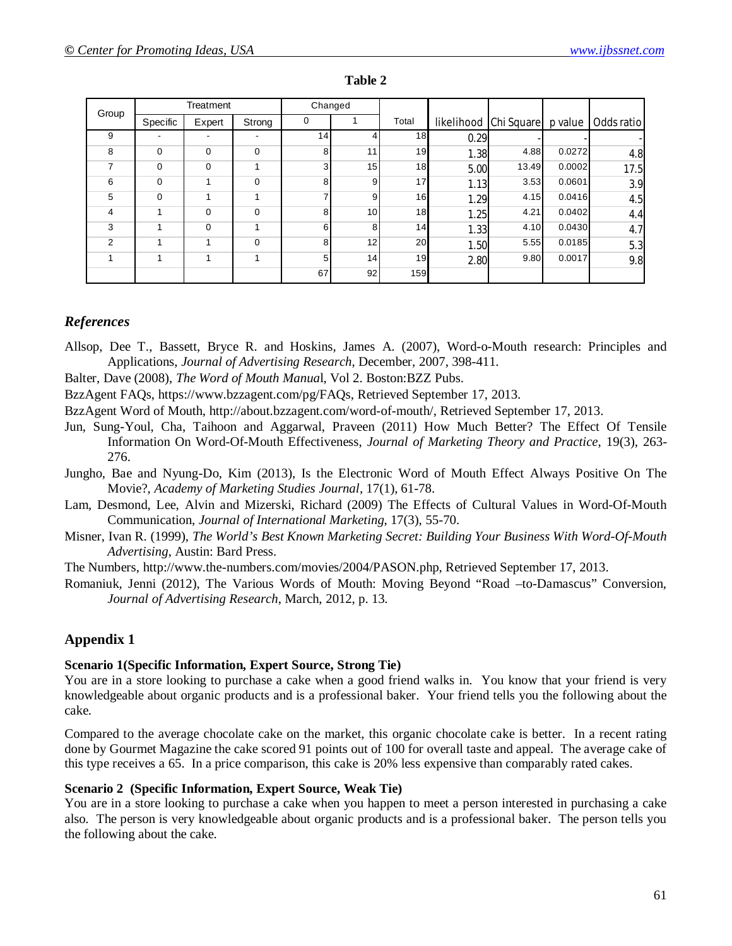| Group          | Treatment   |             | Changed     |                |                 |                 |                       |       |         |            |
|----------------|-------------|-------------|-------------|----------------|-----------------|-----------------|-----------------------|-------|---------|------------|
|                | Specific    | Expert      | Strong      | 0              |                 | Total           | likelihood Chi Square |       | p value | Odds ratio |
| 9              |             | -           |             | 14             | $\overline{4}$  | 18              | 0.29                  |       |         |            |
| 8              | $\mathbf 0$ | 0           | $\mathbf 0$ | 8              | 11              | 19              | 1.38                  | 4.88  | 0.0272  | 4.8        |
| 7              | $\mathbf 0$ | 0           |             | 3              | 15              | 18              | 5.00                  | 13.49 | 0.0002  | 17.5       |
| 6              | $\Omega$    | 1           | $\mathbf 0$ | 8 <sup>1</sup> | 9               | 17              | 1.13                  | 3.53  | 0.0601  | 3.9        |
| 5              | $\Omega$    |             |             |                | 9               | 16              | 1.29                  | 4.15  | 0.0416  | 4.5        |
| 4              |             | 0           | $\Omega$    | 8              | 10 <sup>1</sup> | 18              | 1.25                  | 4.21  | 0.0402  | 4.4        |
| 3              |             | $\mathbf 0$ |             | 6              | 8               | 14 <sub>h</sub> | 1.33                  | 4.10  | 0.0430  | 4.7        |
| $\overline{2}$ |             | 1           | $\Omega$    | 8 <sup>1</sup> | 12 <sub>1</sub> | 20              | 1.50                  | 5.55  | 0.0185  | 5.3        |
| 1              | 1           | 1           |             | 5              | 14              | 19              | 2.80                  | 9.80  | 0.0017  | 9.8        |
|                |             |             |             | 67             | 92              | 159             |                       |       |         |            |

#### **Table 2**

### *References*

- Allsop, Dee T., Bassett, Bryce R. and Hoskins, James A. (2007), Word-o-Mouth research: Principles and Applications, *Journal of Advertising Research*, December, 2007, 398-411.
- Balter, Dave (2008), *The Word of Mouth Manua*l, Vol 2. Boston:BZZ Pubs.
- BzzAgent FAQs, https://www.bzzagent.com/pg/FAQs, Retrieved September 17, 2013.
- BzzAgent Word of Mouth, http://about.bzzagent.com/word-of-mouth/, Retrieved September 17, 2013.
- Jun, Sung-Youl, Cha, Taihoon and Aggarwal, Praveen (2011) How Much Better? The Effect Of Tensile Information On Word-Of-Mouth Effectiveness, *Journal of Marketing Theory and Practice*, 19(3), 263- 276.
- Jungho, Bae and Nyung-Do, Kim (2013), Is the Electronic Word of Mouth Effect Always Positive On The Movie?, *Academy of Marketing Studies Journal*, 17(1), 61-78.
- Lam, Desmond, Lee, Alvin and Mizerski, Richard (2009) The Effects of Cultural Values in Word-Of-Mouth Communication, *Journal of International Marketing*, 17(3), 55-70.
- Misner, Ivan R. (1999), *The World's Best Known Marketing Secret: Building Your Business With Word-Of-Mouth Advertising*, Austin: Bard Press.

The Numbers, http://www.the-numbers.com/movies/2004/PASON.php, Retrieved September 17, 2013.

Romaniuk, Jenni (2012), The Various Words of Mouth: Moving Beyond "Road –to-Damascus" Conversion, *Journal of Advertising Research*, March, 2012, p. 13.

# **Appendix 1**

#### **Scenario 1(Specific Information, Expert Source, Strong Tie)**

You are in a store looking to purchase a cake when a good friend walks in. You know that your friend is very knowledgeable about organic products and is a professional baker. Your friend tells you the following about the cake.

Compared to the average chocolate cake on the market, this organic chocolate cake is better. In a recent rating done by Gourmet Magazine the cake scored 91 points out of 100 for overall taste and appeal. The average cake of this type receives a 65. In a price comparison, this cake is 20% less expensive than comparably rated cakes.

### **Scenario 2 (Specific Information, Expert Source, Weak Tie)**

You are in a store looking to purchase a cake when you happen to meet a person interested in purchasing a cake also. The person is very knowledgeable about organic products and is a professional baker. The person tells you the following about the cake.